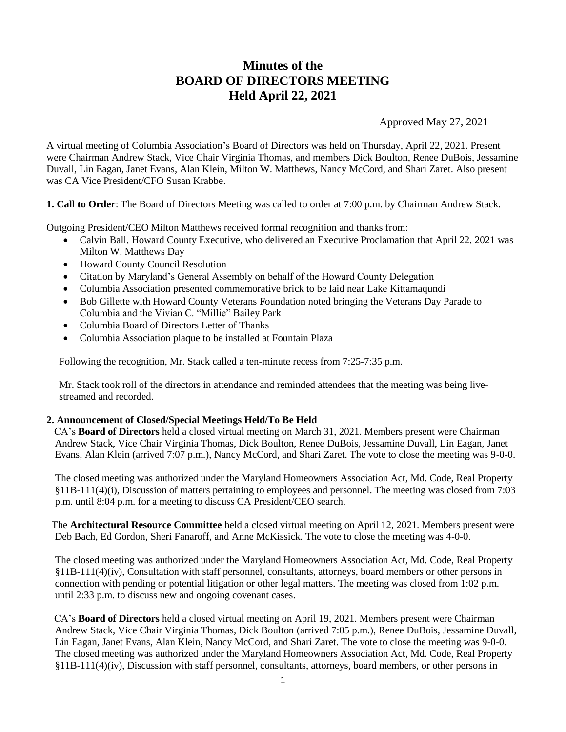# **Minutes of the BOARD OF DIRECTORS MEETING Held April 22, 2021**

Approved May 27, 2021

A virtual meeting of Columbia Association's Board of Directors was held on Thursday, April 22, 2021. Present were Chairman Andrew Stack, Vice Chair Virginia Thomas, and members Dick Boulton, Renee DuBois, Jessamine Duvall, Lin Eagan, Janet Evans, Alan Klein, Milton W. Matthews, Nancy McCord, and Shari Zaret. Also present was CA Vice President/CFO Susan Krabbe.

**1. Call to Order**: The Board of Directors Meeting was called to order at 7:00 p.m. by Chairman Andrew Stack.

Outgoing President/CEO Milton Matthews received formal recognition and thanks from:

- Calvin Ball, Howard County Executive, who delivered an Executive Proclamation that April 22, 2021 was Milton W. Matthews Day
- Howard County Council Resolution
- Citation by Maryland's General Assembly on behalf of the Howard County Delegation
- Columbia Association presented commemorative brick to be laid near Lake Kittamaqundi
- Bob Gillette with Howard County Veterans Foundation noted bringing the Veterans Day Parade to Columbia and the Vivian C. "Millie" Bailey Park
- Columbia Board of Directors Letter of Thanks
- Columbia Association plaque to be installed at Fountain Plaza

Following the recognition, Mr. Stack called a ten-minute recess from 7:25-7:35 p.m.

Mr. Stack took roll of the directors in attendance and reminded attendees that the meeting was being livestreamed and recorded.

### **2. Announcement of Closed/Special Meetings Held/To Be Held**

 CA's **Board of Directors** held a closed virtual meeting on March 31, 2021. Members present were Chairman Andrew Stack, Vice Chair Virginia Thomas, Dick Boulton, Renee DuBois, Jessamine Duvall, Lin Eagan, Janet Evans, Alan Klein (arrived 7:07 p.m.), Nancy McCord, and Shari Zaret. The vote to close the meeting was 9-0-0.

The closed meeting was authorized under the Maryland Homeowners Association Act, Md. Code, Real Property §11B-111(4)(i), Discussion of matters pertaining to employees and personnel. The meeting was closed from 7:03 p.m. until 8:04 p.m. for a meeting to discuss CA President/CEO search.

 The **Architectural Resource Committee** held a closed virtual meeting on April 12, 2021. Members present were Deb Bach, Ed Gordon, Sheri Fanaroff, and Anne McKissick. The vote to close the meeting was 4-0-0.

The closed meeting was authorized under the Maryland Homeowners Association Act, Md. Code, Real Property §11B-111(4)(iv), Consultation with staff personnel, consultants, attorneys, board members or other persons in connection with pending or potential litigation or other legal matters. The meeting was closed from 1:02 p.m. until 2:33 p.m. to discuss new and ongoing covenant cases.

 CA's **Board of Directors** held a closed virtual meeting on April 19, 2021. Members present were Chairman Andrew Stack, Vice Chair Virginia Thomas, Dick Boulton (arrived 7:05 p.m.), Renee DuBois, Jessamine Duvall, Lin Eagan, Janet Evans, Alan Klein, Nancy McCord, and Shari Zaret. The vote to close the meeting was 9-0-0. The closed meeting was authorized under the Maryland Homeowners Association Act, Md. Code, Real Property §11B-111(4)(iv), Discussion with staff personnel, consultants, attorneys, board members, or other persons in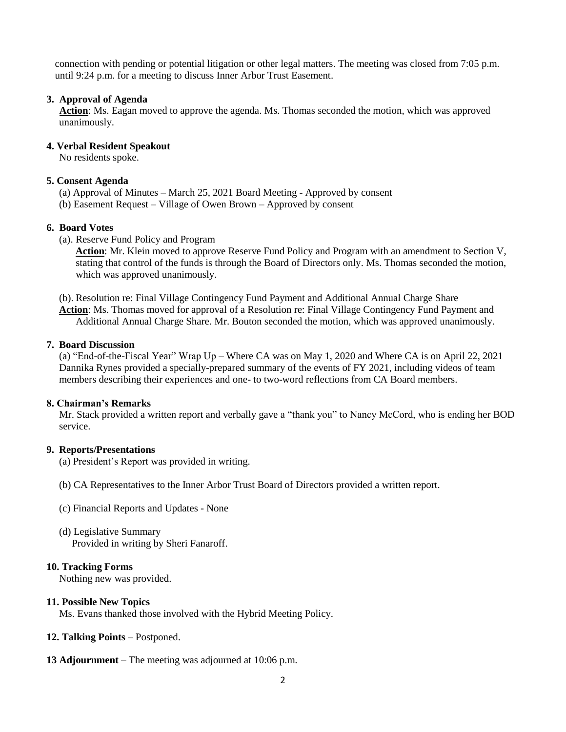connection with pending or potential litigation or other legal matters. The meeting was closed from 7:05 p.m. until 9:24 p.m. for a meeting to discuss Inner Arbor Trust Easement.

### **3. Approval of Agenda**

 **Action**: Ms. Eagan moved to approve the agenda. Ms. Thomas seconded the motion, which was approved unanimously.

### **4. Verbal Resident Speakout**

No residents spoke.

### **5. Consent Agenda**

- (a) Approval of Minutes March 25, 2021 Board Meeting Approved by consent
- (b) Easement Request Village of Owen Brown Approved by consent

## **6. Board Votes**

(a). Reserve Fund Policy and Program

**Action**: Mr. Klein moved to approve Reserve Fund Policy and Program with an amendment to Section V, stating that control of the funds is through the Board of Directors only. Ms. Thomas seconded the motion, which was approved unanimously.

(b). Resolution re: Final Village Contingency Fund Payment and Additional Annual Charge Share **Action**: Ms. Thomas moved for approval of a Resolution re: Final Village Contingency Fund Payment and Additional Annual Charge Share. Mr. Bouton seconded the motion, which was approved unanimously.

### **7. Board Discussion**

(a) "End-of-the-Fiscal Year" Wrap Up – Where CA was on May 1, 2020 and Where CA is on April 22, 2021 Dannika Rynes provided a specially-prepared summary of the events of FY 2021, including videos of team members describing their experiences and one- to two-word reflections from CA Board members.

### **8. Chairman's Remarks**

Mr. Stack provided a written report and verbally gave a "thank you" to Nancy McCord, who is ending her BOD service.

### **9. Reports/Presentations**

- (a) President's Report was provided in writing.
- (b) CA Representatives to the Inner Arbor Trust Board of Directors provided a written report.
- (c) Financial Reports and Updates None
- (d) Legislative Summary Provided in writing by Sheri Fanaroff.

### **10. Tracking Forms**

Nothing new was provided.

### **11. Possible New Topics**

Ms. Evans thanked those involved with the Hybrid Meeting Policy.

- **12. Talking Points** Postponed.
- **13 Adjournment** The meeting was adjourned at 10:06 p.m.